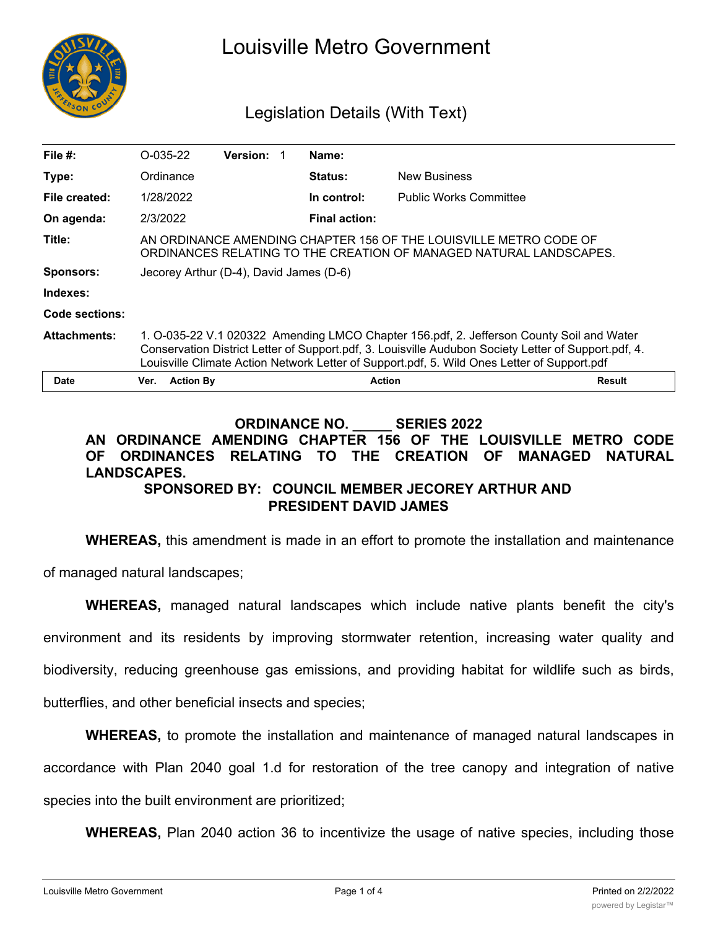

# Louisville Metro Government

# Legislation Details (With Text)

| File $#$ :          | $O-035-22$                                                                                                                                                                                                                                                                                      | <b>Version:</b> | Name:                |                               |  |
|---------------------|-------------------------------------------------------------------------------------------------------------------------------------------------------------------------------------------------------------------------------------------------------------------------------------------------|-----------------|----------------------|-------------------------------|--|
| Type:               | Ordinance                                                                                                                                                                                                                                                                                       |                 | <b>Status:</b>       | <b>New Business</b>           |  |
| File created:       | 1/28/2022                                                                                                                                                                                                                                                                                       |                 | In control:          | <b>Public Works Committee</b> |  |
| On agenda:          | 2/3/2022                                                                                                                                                                                                                                                                                        |                 | <b>Final action:</b> |                               |  |
| Title:              | AN ORDINANCE AMENDING CHAPTER 156 OF THE LOUISVILLE METRO CODE OF<br>ORDINANCES RELATING TO THE CREATION OF MANAGED NATURAL LANDSCAPES.                                                                                                                                                         |                 |                      |                               |  |
| <b>Sponsors:</b>    | Jecorey Arthur (D-4), David James (D-6)                                                                                                                                                                                                                                                         |                 |                      |                               |  |
| Indexes:            |                                                                                                                                                                                                                                                                                                 |                 |                      |                               |  |
| Code sections:      |                                                                                                                                                                                                                                                                                                 |                 |                      |                               |  |
| <b>Attachments:</b> | 1. O-035-22 V.1 020322 Amending LMCO Chapter 156.pdf, 2. Jefferson County Soil and Water<br>Conservation District Letter of Support.pdf, 3. Louisville Audubon Society Letter of Support.pdf, 4.<br>Louisville Climate Action Network Letter of Support.pdf, 5. Wild Ones Letter of Support.pdf |                 |                      |                               |  |
| <b>Date</b>         | <b>Action By</b><br>Ver.                                                                                                                                                                                                                                                                        |                 | <b>Action</b>        | <b>Result</b>                 |  |

#### **ORDINANCE NO. \_\_\_\_\_ SERIES 2022 AN ORDINANCE AMENDING CHAPTER 156 OF THE LOUISVILLE METRO CODE OF ORDINANCES RELATING TO THE CREATION OF MANAGED NATURAL LANDSCAPES. SPONSORED BY: COUNCIL MEMBER JECOREY ARTHUR AND**

**PRESIDENT DAVID JAMES**

**WHEREAS,** this amendment is made in an effort to promote the installation and maintenance

of managed natural landscapes;

**WHEREAS,** managed natural landscapes which include native plants benefit the city's environment and its residents by improving stormwater retention, increasing water quality and biodiversity, reducing greenhouse gas emissions, and providing habitat for wildlife such as birds, butterflies, and other beneficial insects and species;

**WHEREAS,** to promote the installation and maintenance of managed natural landscapes in accordance with Plan 2040 goal 1.d for restoration of the tree canopy and integration of native species into the built environment are prioritized;

**WHEREAS,** Plan 2040 action 36 to incentivize the usage of native species, including those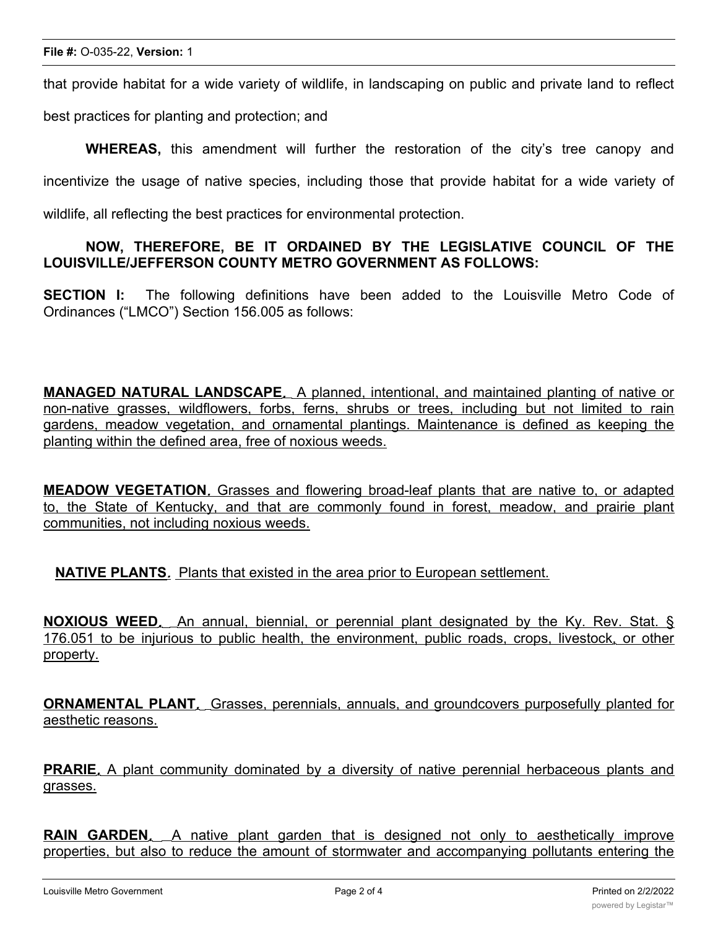that provide habitat for a wide variety of wildlife, in landscaping on public and private land to reflect

best practices for planting and protection; and

**WHEREAS,** this amendment will further the restoration of the city's tree canopy and incentivize the usage of native species, including those that provide habitat for a wide variety of wildlife, all reflecting the best practices for environmental protection.

## **NOW, THEREFORE, BE IT ORDAINED BY THE LEGISLATIVE COUNCIL OF THE LOUISVILLE/JEFFERSON COUNTY METRO GOVERNMENT AS FOLLOWS:**

**SECTION I:** The following definitions have been added to the Louisville Metro Code of Ordinances ("LMCO") Section 156.005 as follows:

**MANAGED NATURAL LANDSCAPE***.* A planned, intentional, and maintained planting of native or non-native grasses, wildflowers, forbs, ferns, shrubs or trees, including but not limited to rain gardens, meadow vegetation, and ornamental plantings. Maintenance is defined as keeping the planting within the defined area, free of noxious weeds.

**MEADOW VEGETATION***.* Grasses and flowering broad-leaf plants that are native to, or adapted to, the State of Kentucky, and that are commonly found in forest, meadow, and prairie plant communities, not including noxious weeds.

**NATIVE PLANTS***.* Plants that existed in the area prior to European settlement.

**NOXIOUS WEED***.* An annual, biennial, or perennial plant designated by the Ky. Rev. Stat. § 176.051 to be injurious to public health, the environment, public roads, crops, livestock, or other property.

**ORNAMENTAL PLANT***.* Grasses, perennials, annuals, and groundcovers purposefully planted for aesthetic reasons.

**PRARIE***.* A plant community dominated by a diversity of native perennial herbaceous plants and grasses.

**RAIN GARDEN***.* A native plant garden that is designed not only to aesthetically improve properties, but also to reduce the amount of stormwater and accompanying pollutants entering the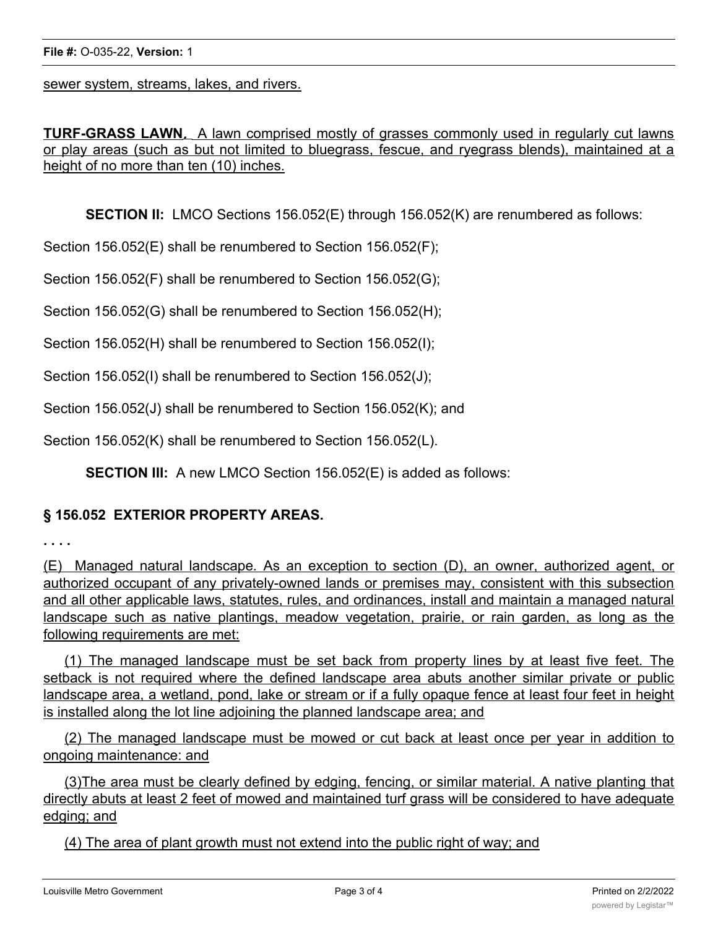sewer system, streams, lakes, and rivers.

**TURF-GRASS LAWN***.* A lawn comprised mostly of grasses commonly used in regularly cut lawns or play areas (such as but not limited to bluegrass, fescue, and ryegrass blends), maintained at a height of no more than ten (10) inches.

**SECTION II:** LMCO Sections 156.052(E) through 156.052(K) are renumbered as follows:

Section 156.052(E) shall be renumbered to Section 156.052(F);

Section 156.052(F) shall be renumbered to Section 156.052(G);

Section 156.052(G) shall be renumbered to Section 156.052(H);

Section 156.052(H) shall be renumbered to Section 156.052(I);

Section 156.052(I) shall be renumbered to Section 156.052(J);

Section 156.052(J) shall be renumbered to Section 156.052(K); and

Section 156.052(K) shall be renumbered to Section 156.052(L).

**SECTION III:** A new LMCO Section 156.052(E) is added as follows:

#### **§ 156.052 EXTERIOR PROPERTY AREAS.**

**. . . .**

(E) Managed natural landscape*.* As an exception to section (D), an owner, authorized agent, or authorized occupant of any privately-owned lands or premises may, consistent with this subsection and all other applicable laws, statutes, rules, and ordinances, install and maintain a managed natural landscape such as native plantings, meadow vegetation, prairie, or rain garden, as long as the following requirements are met:

(1) The managed landscape must be set back from property lines by at least five feet. The setback is not required where the defined landscape area abuts another similar private or public landscape area, a wetland, pond, lake or stream or if a fully opaque fence at least four feet in height is installed along the lot line adjoining the planned landscape area; and

(2) The managed landscape must be mowed or cut back at least once per year in addition to ongoing maintenance: and

(3)The area must be clearly defined by edging, fencing, or similar material. A native planting that directly abuts at least 2 feet of mowed and maintained turf grass will be considered to have adequate edging; and

(4) The area of plant growth must not extend into the public right of way; and